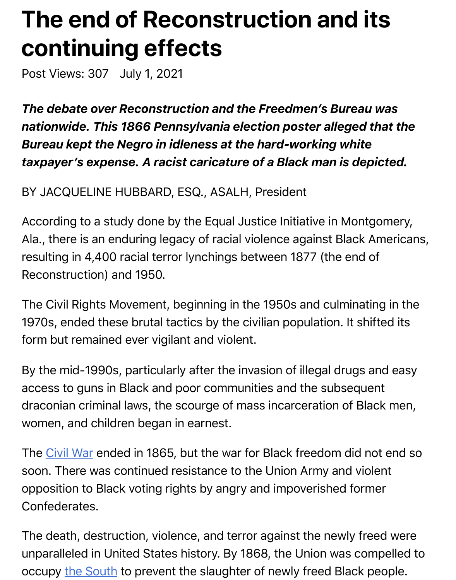## *The debate over Reconstruction and the Freedmen's Bureau was nationwide. This 1866 Pennsylvania election poster alleged that the Bureau kept the Negro in idleness at the hard-working white* taxpayer's expense. A racist caricature of a Black man is depict

## BY JACQUELINE HUBBARD, ESQ., ASALH, President

Post Views: 307 July 1, 2021

According to a study done by the Equal Justice Initiative in Montgor Ala., there is an enduring legacy of racial violence against Black Americans, resulting in 4,400 racial terror lynchings between 1877 (the end of Reconstruction) and 1950.

The Civil Rights Movement, beginning in the 1950s and culminating 1970s, ended these brutal tactics by the civilian population. It shifte form but remained ever vigilant and violent.

By the mid-1990s, particularly after the invasion of illegal drugs and access to guns in Black and poor communities and the subsequent draconian criminal laws, the scourge of mass incarceration of Black women, and children began in earnest.

The Civil War ended in 1865, but the war for Black freedom did not soon. There was continued resistance to the Union Army and violen opposition to Black voting rights by angry and impoverished former Confederates.

The [death, de](https://www.encyclopedia.com/history/ancient-greece-and-rome/ancient-history-rome/civil-war)struction, violence, and terror against the newly freed unparalleled in United States history. By 1868, the Union was compe occupy the South to prevent the slaughter of newly freed Black peo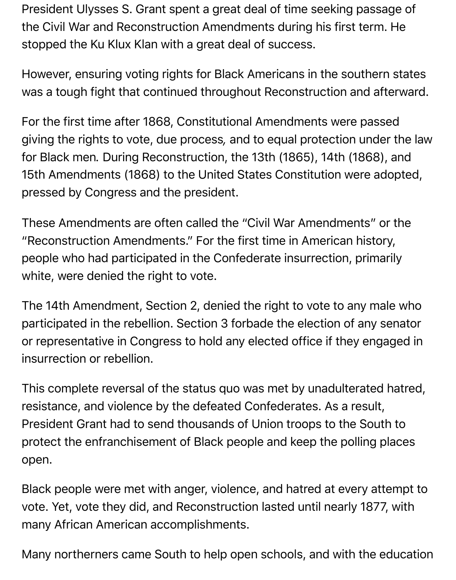President Ulysses S. Grant spent a great deal of time seeking passage of the Civil War and Reconstruction Amendments during his first term. He stopped the Ku Klux Klan with a great deal of success.

However, ensuring voting rights for Black Americans in the southern states was a tough fight that continued throughout Reconstruction and afterward.

For the first time after 1868, Constitutional Amendments were passed giving the rights to vote, due process*,* and to equal protection under the law for Black men*.* During Reconstruction, the 13th (1865), 14th (1868), and 15th Amendments (1868) to the United States Constitution were adopted, pressed by Congress and the president.

These Amendments are often called the "Civil War Amendments" or the "Reconstruction Amendments." For the first time in American history, people who had participated in the Confederate insurrection, primarily white, were denied the right to vote.

The 14th Amendment, Section 2, denied the right to vote to any male who participated in the rebellion. Section 3 forbade the election of any senator or representative in Congress to hold any elected office if they engaged in insurrection or rebellion.

This complete reversal of the status quo was met by unadulterated hatred, resistance, and violence by the defeated Confederates. As a result, President Grant had to send thousands of Union troops to the South to protect the enfranchisement of Black people and keep the polling places open.

Black people were met with anger, violence, and hatred at every attempt to vote. Yet, vote they did, and Reconstruction lasted until nearly 1877, with many African American accomplishments.

Many northerners came South to help open schools, and with the education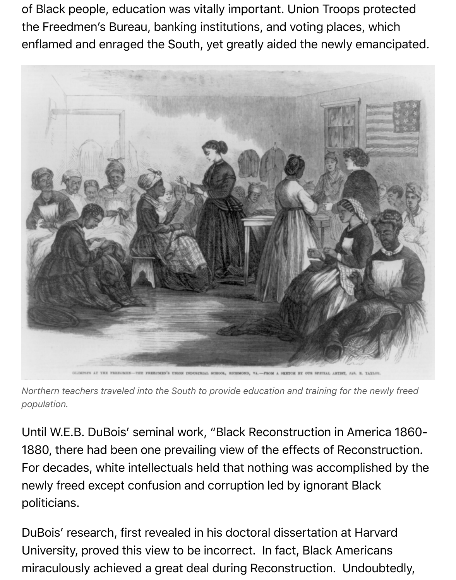of Black people, education was vitally important. Union Troops protected the Freedmen's Bureau, banking institutions, and voting places, which enflamed and enraged the South, yet greatly aided the newly emancipated.



*Northern teachers traveled into the South to provide education and training for the newly freed population.*

Until W.E.B. DuBois' seminal work, "Black Reconstruction in America 1860- 1880, there had been one prevailing view of the effects of Reconstruction. For decades, white intellectuals held that nothing was accomplished by the newly freed except confusion and corruption led by ignorant Black politicians.

DuBois' research, first revealed in his doctoral dissertation at Harvard University, proved this view to be incorrect. In fact, Black Americans miraculously achieved a great deal during Reconstruction. Undoubtedly,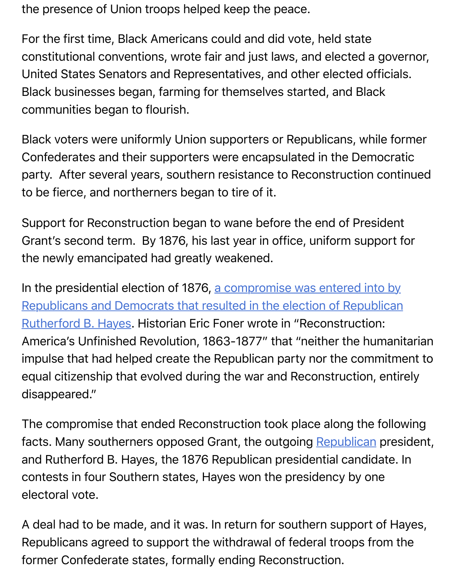Black businesses began, farming for themselves started, and Black communities began to flourish.

United States Senators and Representatives, and other elected officials.

Black voters were uniformly Union supporters or Republicans, while Confederates and their supporters were encapsulated in the Demod party. After several years, southern resistance to Reconstruction continued to be fierce, and northerners began to tire of it.

Support for Reconstruction began to wane before the end of Presid Grant's second term. By 1876, his last year in office, uniform support the newly emancipated had greatly weakened.

In the presidential election of 1876, a compromise was entered into Republicans and Democrats that resulted in the election of Republican Rutherford B. Hayes. Historian Eric Foner wrote in "Reconstruction: America's Unfinished Revolution, 1863-1877" that "neither the hum impulse that had helped create the Republican party nor the commi [equal citizenship that evolved during the war and Reconstruction, entir](https://www.history.com/news/reconstruction-1876-election-rutherford-hayes)ely disappeared."

The compromise that ended Reconstruction took place along the fo facts. Many southerners opposed Grant, the outgoing Republican p and Rutherford B. Hayes, the 1876 Republican presidential candidat contests in four Southern states, Hayes won the presidency by one electoral vote.

A deal had to be made, and it was. In return for southe[rn support o](https://www.encyclopedia.com/social-sciences-and-law/political-science-and-government/political-parties-and-movements/republican)f Republicans agreed to support the withdrawal of federal troops from former Confederate states, formally ending Reconstruction.